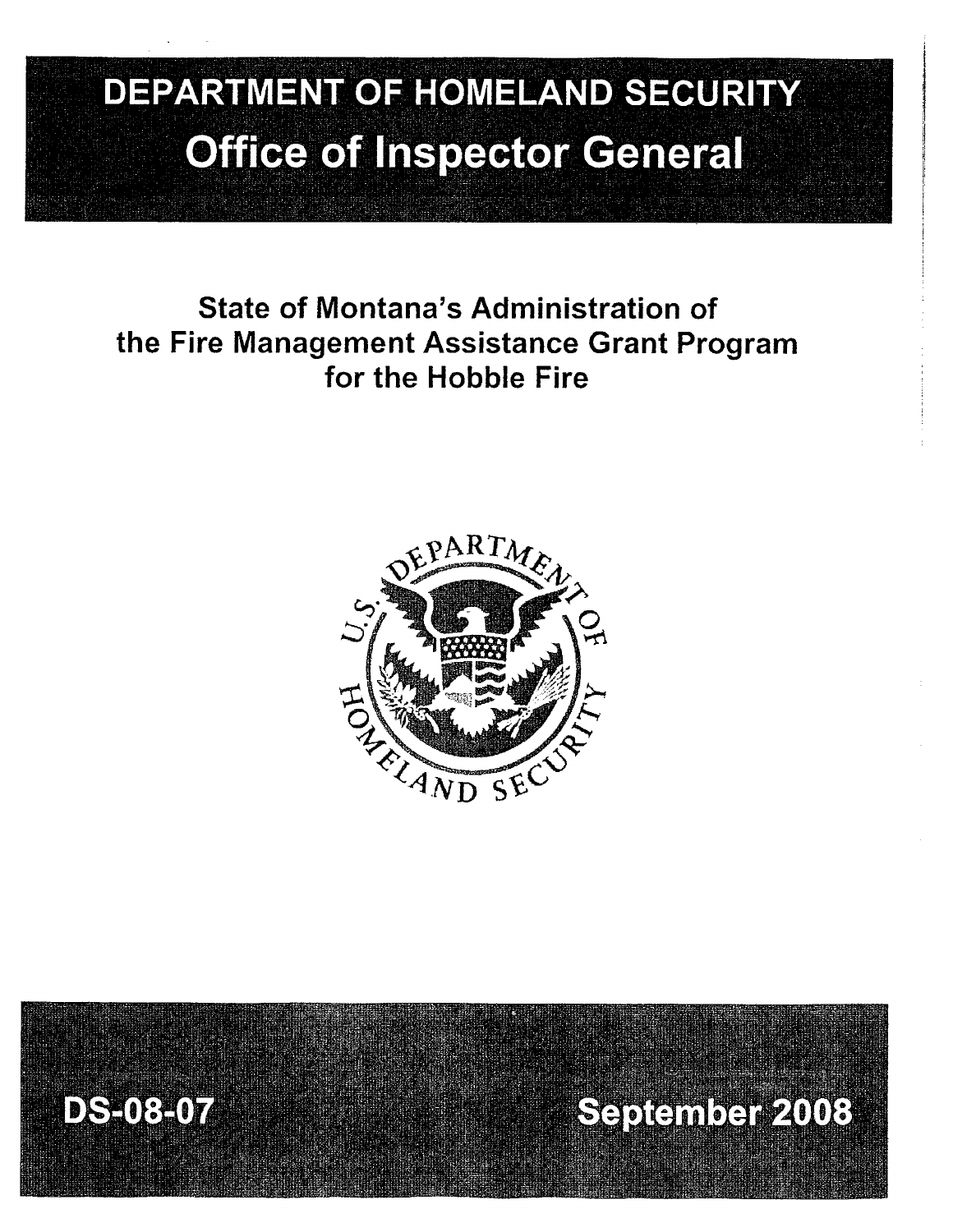# **DEPARTMENT OF HOMELAND SECURITY Office of Inspector General**

# State of Montana's Administration of the Fire Management Assistance Grant Program for the Hobble Fire





September 2008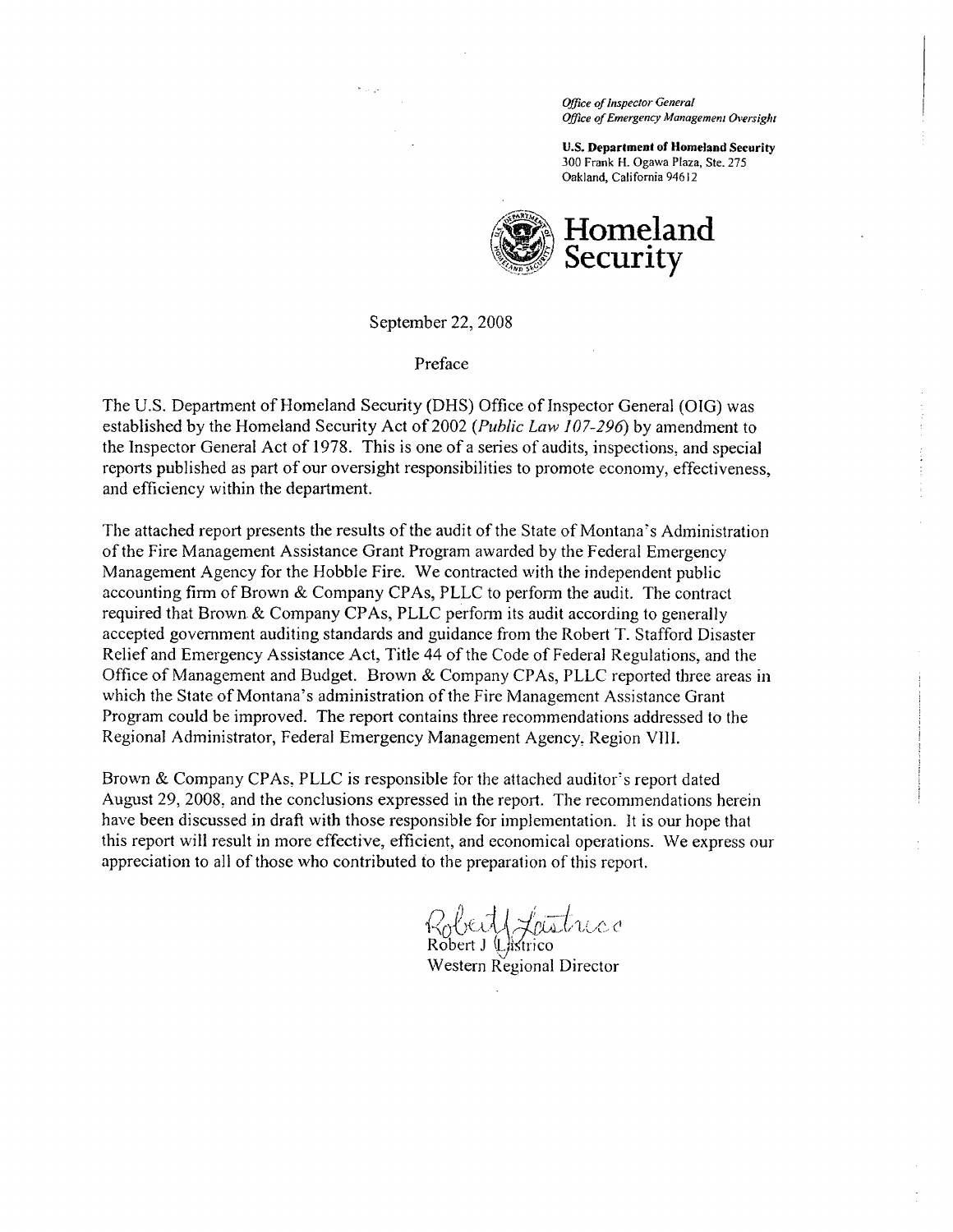Office of Inspector General Office of Emergency Management Oversight

U.S. Department of Homeland Security 300 Frank H. Ogawa Plaza, Ste. 275 Oakland, California 94612



September 22, 2008

Preface

The U.S. Department of Homeland Security (DHS) Office of Inspector General (OIG) was established by the Homeland Security Act of 2002 (Public Law  $107-296$ ) by amendment to the Inspector General Act of 1978. This is one of a series of audits, inspections, and special reports published as part of our oversight responsibilities to promote economy, effectiveness, and efficiency within the department.

The attached report presents the results of the audit of the State of Montana's Administration of the Fire Management Assistance Grant Program awarded by the Federal Emergency Management Agency for the Hobble Fire. We contracted with the independent public accounting firm of Brown & Company CP As, PLLC to perform the audit. The contract required that Brown & Company CP As, PLLC perform its audit according to generally accepted government auditing standards and guidance from the Robert T. Stafford Disaster Relief and Emergency Assistance Act, Title 44 of the Code of Federal Regulations, and the Office of Management and Budget. Brown & Company CP As, PLLC reported three areas in which the State of Montana's administration of the Fire Management Assistance Grant Program could be improved. The report contains three recommendations addressed to the Regional Administrator, Federal Emergency Management Agency, Region VIII.

Brown & Company CP As, PLLC is responsible for the attached auditor's report dated August 29, 2008, and the conclusions expressed in the report. The recommendations herein have been discussed in draft with those responsible for implementation. It is our hope that this report will result in more effective, effcient, and economical operations. We express our appreciation to all of those who contributed to the preparation of this report.

Robert / Lastrico Robert J Listrico

Western Regional Director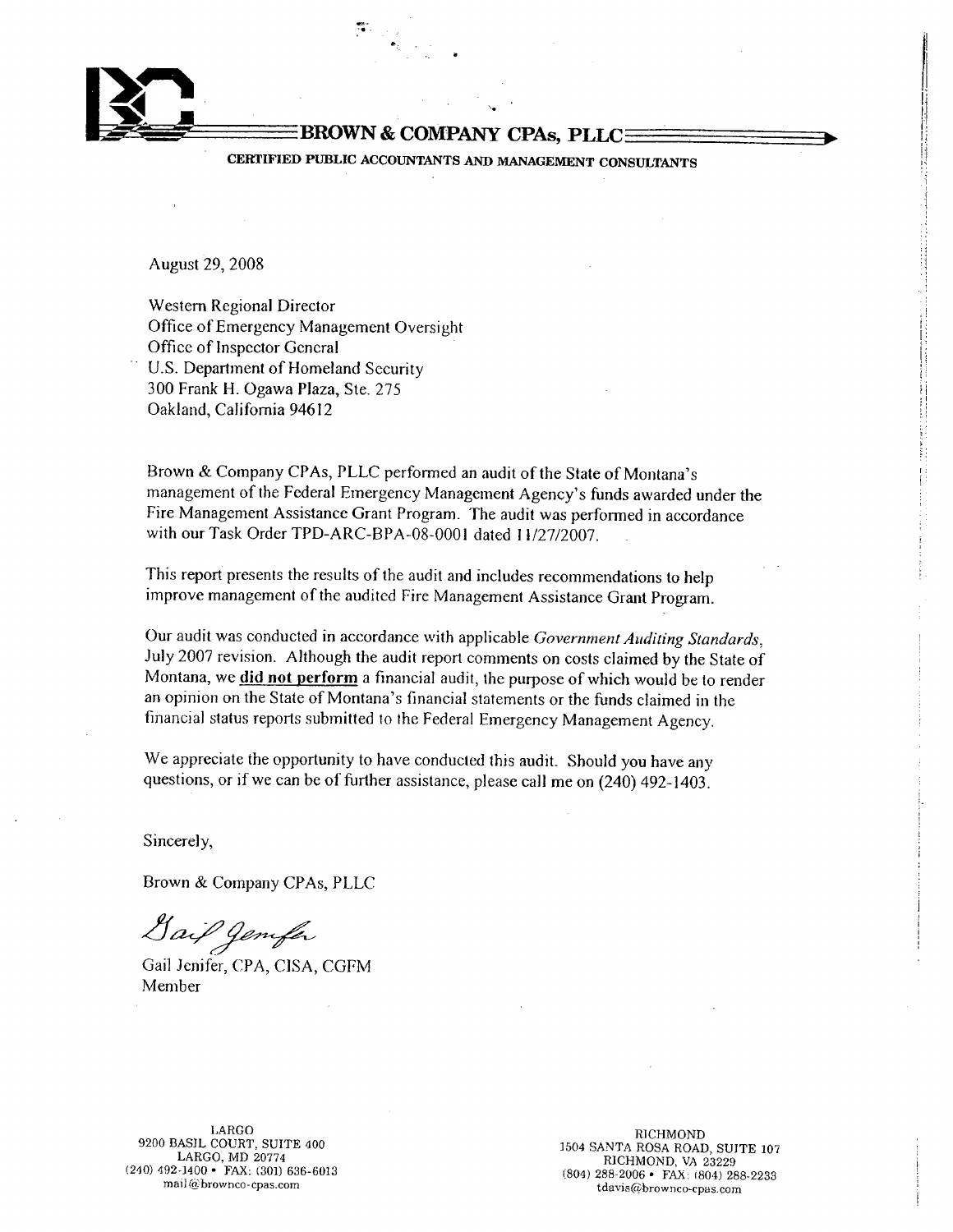

#### BROWN & COMPANY CPAs, PLLC=

.i,  $\cdot$  .

CERTIFIED PUBLIC ACCOUNTANTS AND MANAGEMENT CONSULTANTS "The consultant" of the consultant of the consultant of  $\mathbb{R}$ 

August 29, 2008

Western Regional Director Office of Emergency Management Oversight Office of Inspcctor Gcncral U.S. Department of Homeland Security 300 Frank H. Ogawa Plaza, Ste. 275 Oakland, California 94612

Brown & Company CPAs, PLLC performed an audit of the State of Montana's management of the Federal Emergency Management Agency's funds awarded under the Fire Management Assistance Grant Program. The audit was performed in accordance with our Task Order TPD-ARC-BP A-08-0001 dated 11/27/2007.

This report presents the results of the audit and includes recommendations to help improve management of the audited Fire Management Assistance Grant Program.

Our audit was conducted in accordance with applicable Government Auditing Standards, July 2007 revision. Although the audit report comments on costs claimed by the State of Montana, we did not perform a financial audit, the purpose of which would be to render an opinion on the State of Montana's financial statements or the funds claimed in the financial status reports submitted to the Federal Emergency Management Agency.

We appreciate the opportunity to have conducted this audit. Should you have any questions, or if we can be of further assistance, please call me on (240) 492-1403.

Sincerely,

Brown & Company CPAs, PLLC

¿¡~~

Gail Jcnifer, CPA, CISA, CGFM Member

(240) 492-1400 · FAX: (301) 636-6013

LARGO RICHMOND 1504 SANTA ROSA ROAD, SUITE 107 1504 SANTA ROSA ROAD, SUITE 107 1504 SANTA ROSA ROAD, SUITE 107 (804) 288-2006 • FAX: (301) 636-6013<br>mail@brownco-cpas.com tdavis@brownco-cpas.com tdavis@brownco-cpas.com

l. lí.

¡!

i

 $~:$ I.

 $\blacksquare$ 

is a contract of the contract of the contract of the contract of the contract of the contract of the contract of the contract of the contract of the contract of the contract of the contract of the contract of the contract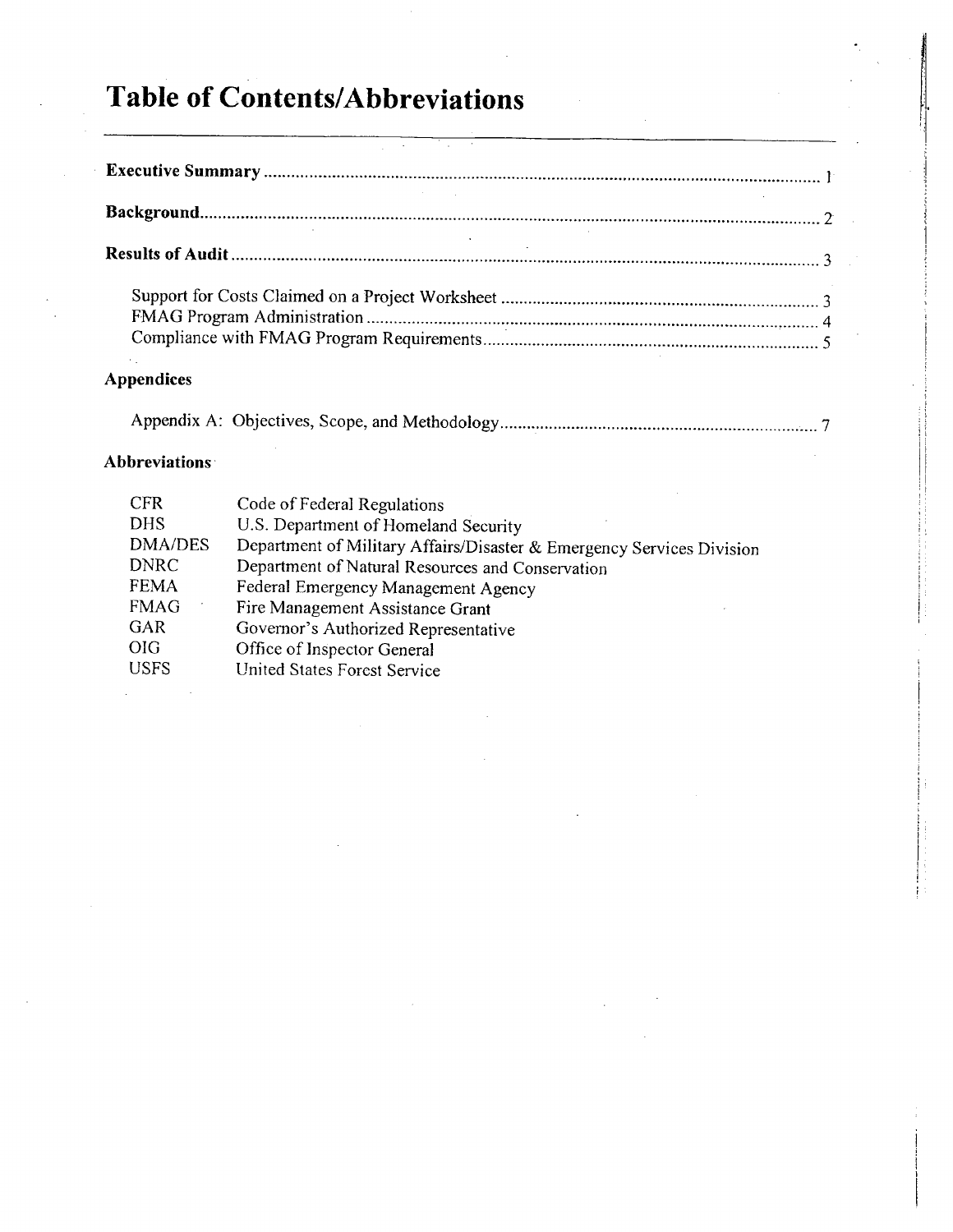# Table of Contents/Abbreviations

i

!

# Appendix A: Objectives, Scope, and Methodology....................................................................... 7

# Abbreviations'

| <b>CFR</b>     | Code of Federal Regulations                                           |
|----------------|-----------------------------------------------------------------------|
| <b>DHS</b>     | U.S. Department of Homeland Security                                  |
| <b>DMA/DES</b> | Department of Military Affairs/Disaster & Emergency Services Division |
| <b>DNRC</b>    | Department of Natural Resources and Conservation                      |
| <b>FEMA</b>    | Federal Emergency Management Agency                                   |
| <b>FMAG</b>    | Fire Management Assistance Grant                                      |
| GAR            | Governor's Authorized Representative                                  |
| <b>OIG</b>     | Office of Inspector General                                           |
| <b>USFS</b>    | United States Forest Service                                          |
|                |                                                                       |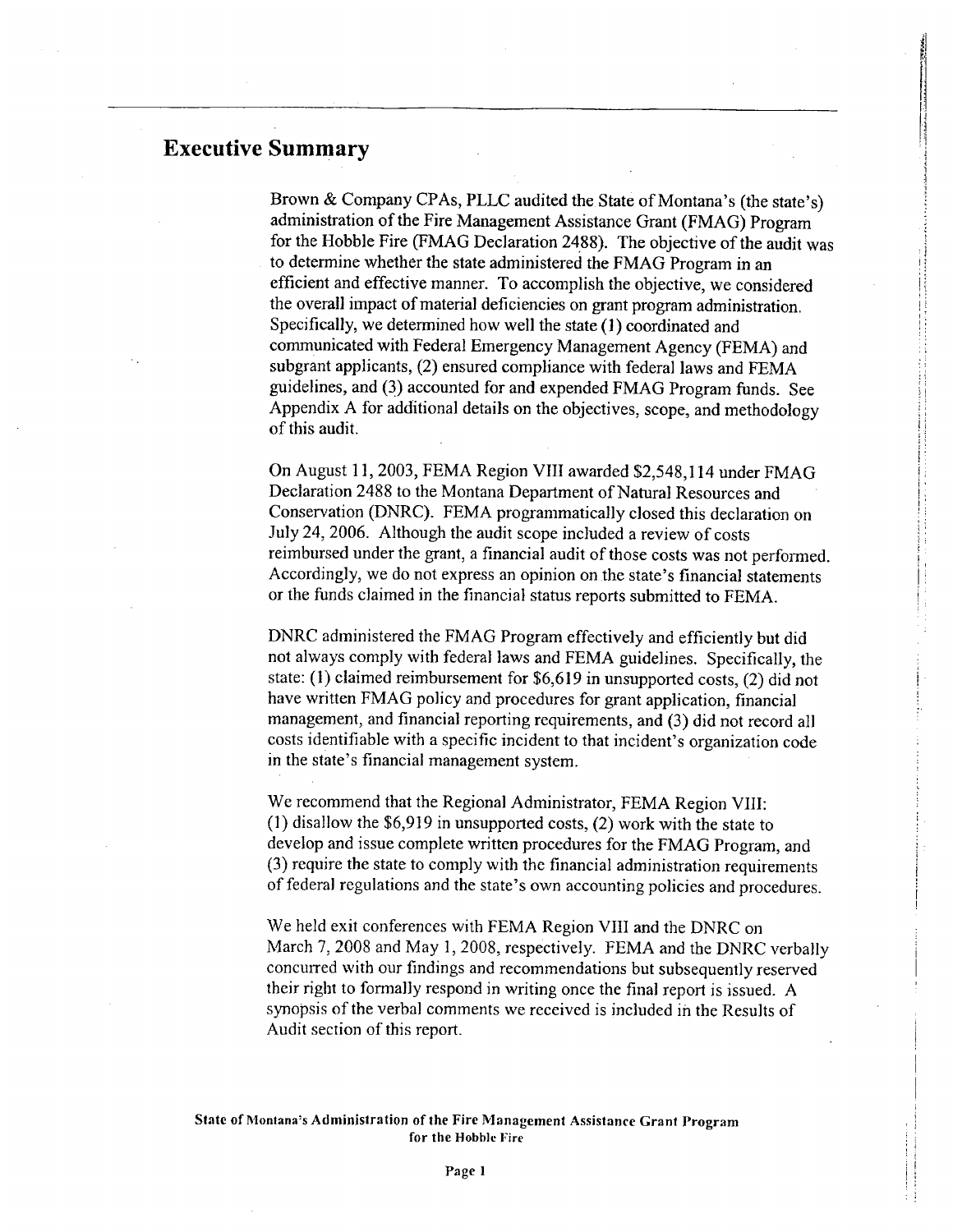# **Executive Summary**

Brown & Company CPAs, PLLC audited the State of Montana's (the state's) administration of the Fire Management Assistance Grant (FMAG) Program for the Hobble Fire (FMAG Declaration 2488). The objective of the audit was to determine whether the state administered the FMAG Program in an effcient and effective manner. To accomplish the objective, we considered the overall impact of material deficiencies on grant program administration. Specifically, we determined how well the state (1) coordinated and communicated with Federal Emergency Management Agency (FEMA) and subgrant applicants, (2) ensured compliance with federal laws and FEMA guidelines, and (3) accounted for and expended FMAG Program funds. See Appendix A for additional details on the objectives, scope, and methodology of this audit.

il  $^{\rm H}$  .

II i l

11 i ; 1 j

:j

On August 11, 2003, FEMA Region VIII awarded \$2,548,114 under FMAG Declaration 2488 to the Montana Department of Natural Resources and Conservation (DNRC). FEMA programmatically closed this declaration on July 24, 2006. Although the audit scope included a review of costs reimbursed under the grant, a financial audit of those costs was not performed. Accordingly, we do not express an opinion on the state's financial statements or the funds claimed in the financial status reports submitted to FEMA.

DNRC administered the FMAG Program effectively and efficiently but did not always comply with federal laws and FEMA guidelines. Specifically, the state: (I) claimed reimbursement for \$6,619 in unsupported costs, (2) did not have written FMAG policy and procedures for grant application, financial management, and financial reporting requirements, and (3) did not record all costs identifiable with a specific incident to that incident's organization code in the state's financial management system.

We recommend that the Regional Administrator, FEMA Region VIII: (1) disallow the \$6,919 in unsupported costs, (2) work with the state to develop and issue complete written procedures for the FMAG Program, and (3) require the state to comply with the financial administration requirements of federal regulations and the state's own accounting policies and procedures.

We held exit conferences with FEMA Region VIII and the DNRC on March 7, 2008 and May 1, 2008, respectively. FEMA and the DNRC verbally concurred with our findings and recommendations but subsequently reserved their right to formally respond in writing once the final report is issued. A synopsis of the verbal comments we received is included in the Results of Audit section of this report.

State of Montana's Administration of the Fire Management Assistance Grant Program for the Hobble Fire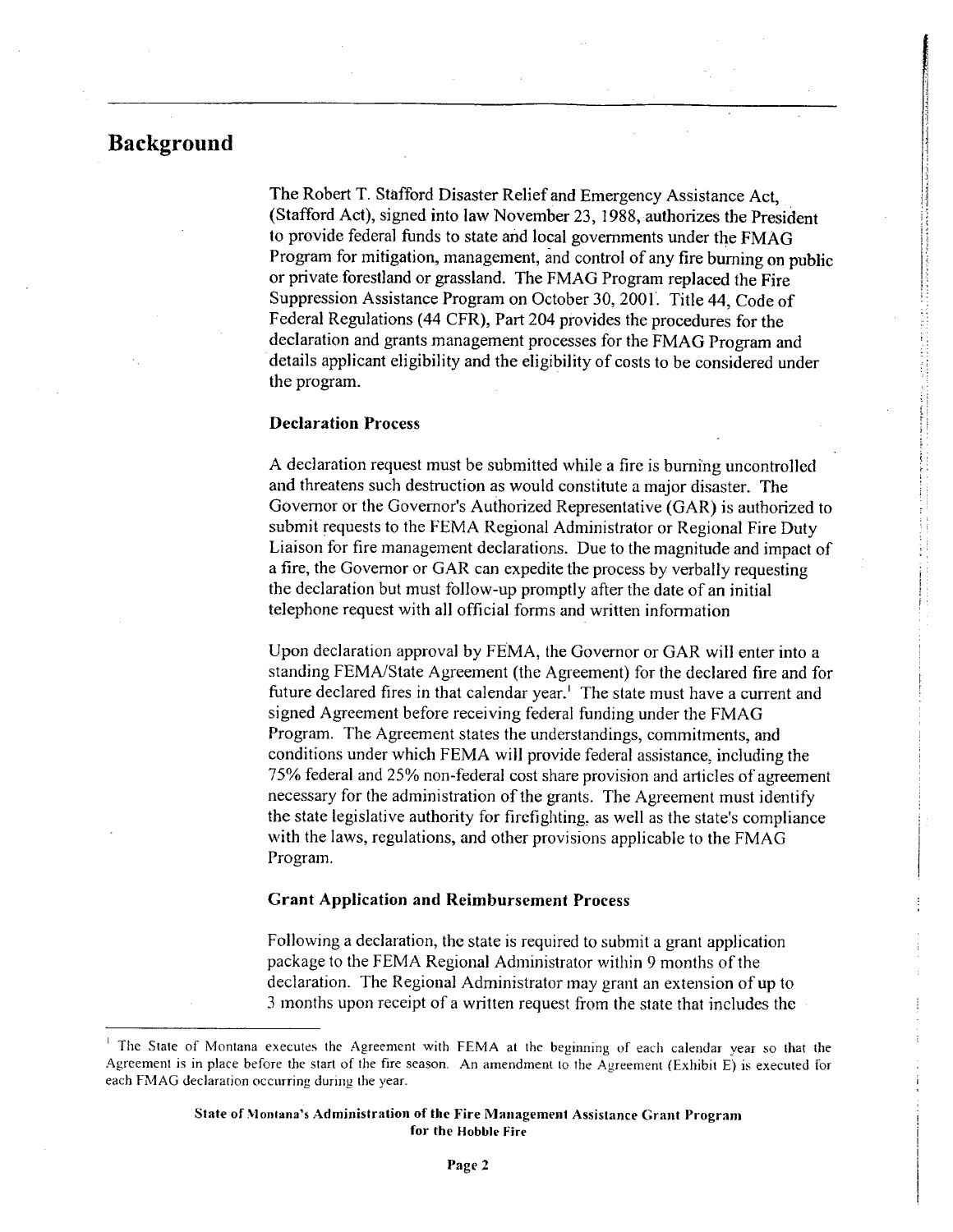# Background

The Robert T. Stafford Disaster Relief and Emergency Assistance Act, (Stafford Act), signed into law November 23, 1988, authorizes the President to provide federal funds to state and local governments under the FMAG Program for mitigation, management, and control of any fire burning on public or private forestland or grassland. The FMAG Program replaced the Fire Suppression Assistance Program on October 30,2001. Title 44, Code of Federal Regulations (44 CFR), Part 204 provides the procedures for the declaration and grants management processes for the FMAG Program and details applicant eligibility and the eligibility of costs to be considered under the program.

j I I:1 11, ¡j

#### Declaration Process

A declaration request must be submitted while a fire is burnìng uncontrolled and threatens such destruction as would constitute a major disaster. The Governor or the Governor's Authorized Representative (GAR) is authorized to submit requests to the FEMA Regional Administrator or Regional Fire Duty Liaison for fire management declarations. Due to the magnitude and impact of a fire, the Governor or GAR can expedite the process by verbally requesting the declaration but must follow-up promptly after the date of an initial telephone request with all official forms and written information

Upon declaration approval by FEMA, the Governor or GAR will enter into a standing FEMAlState Agreement (the Agreement) for the declared fire and for future declared fires in that calendar year.<sup>1</sup> The state must have a current and signed Agreement before receiving federal funding under the FMAG Program. The Agreement states the understandings, commitments, and conditions under which FEMA will provide federal assistance, including the 75% federal and 25% non-federal cost share provision and articles of agreement necessary for the administration of the grants. The Agreement must identify the state Legislative authority for firefighting, as well as the state's compliance with the laws, regulations, and other provisions applicable to the FMAG Program.

#### Grant Application and Reimbursement Process

Following a declaration, the state is required to submit a grant application package to the FEMA Regional Administrator within 9 months of the declaration. The Regional Administrator may grant an extension of up to 3 months upon receipt of a written request from the state that includes the

The State of Montana executes the Agreement with FEMA at the beginning of each calendar year so that the Agreement is in place before the start of the fire season. An amendment to the Agreement (Exhibit E) is executed for each FMAG declaration occurring during the year.

State of Montana's Administration of the Fire Management Assistance Grant Program for the Hobble Fire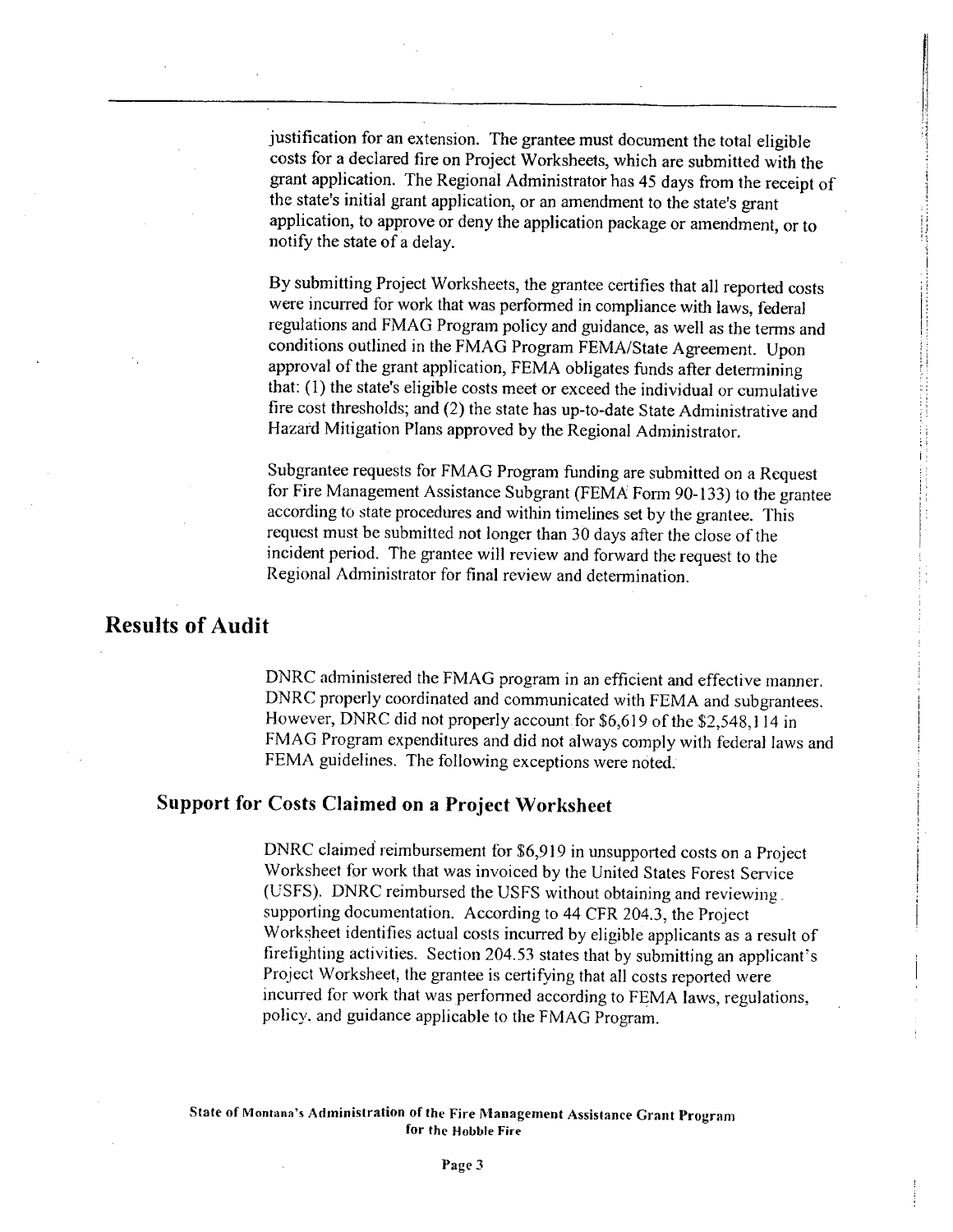justification for an extension. The grantee must document the total eligible costs for a declared fire on Project Worksheets, which are submitted with the grant application. The Regional Administrator has 45 days from the receipt of the state's initial grant application, or an amendment to the state's grant application, to approve or deny the application package or amendment, or to notify the state of a delay.

By submitting Project Worksheets, the grantee certifies that all reported costs were incurred for work that was performed in compliance with laws, federal regulations and FMAG Program policy and guidance, as well as the terms and conditions outlined in the FMAG Program FEMA/State Agreement. Upon approval of the grant application, FEMA obligates funds after determining that: (l) the state's eligible costs meet or exceed the individual or cumulative fire cost thresholds; and (2) the state has up-to-date State Administrative and Hazard Mitigation Plans approved by the Regional Administrator.

Subgrantee requests for FMAG Program funding are submitted on a Request ; for Fire Management Assistance Subgrant (FEMA Form 90-133) to the grantee according to state procedures and within timelines set by the grantee. This requcst must be submitted not longer than 30 days after the close of the incident period. The grantee will review and forward the request to the Regional Administrator for final review and determination.

i

### Results of Audit

DNRC administered the FMAG program in an efficient and effective manner. DNRC properly coordinated and communicated with FEMA and subgrantees. However, DNRC did not properly account for \$6,619 of the \$2,548,114 in FMAG Program expenditures and did not always comply with federal laws and FEMA guidelines. The following exceptions were noted.

## Support for Costs Claimed on a Project Worksheet

DNRC claimed reimbursement for \$6,919 in unsupported costs on a Project Worksheet for work that was invoiced by the United Stales Forest Service (USFS). DNRC reimbursed the USFS without obtaining and reviewing. supporting documentation. According to 44 CFR 204.3, the Project Worksheet identifies actual costs incurred by eligible applicants as a result of firetighting activities. Section 204.53 states that by submitting an applicant's Project Worksheet, the grantee is certifying that all costs reported were incurred for work that was perfonned according to FEMA laws, regulations, policy. and guidance applicable to the FMAG Program.

#### State of Montana's Administration of the Fire Management Assistance Grant Program for the Hobble Fire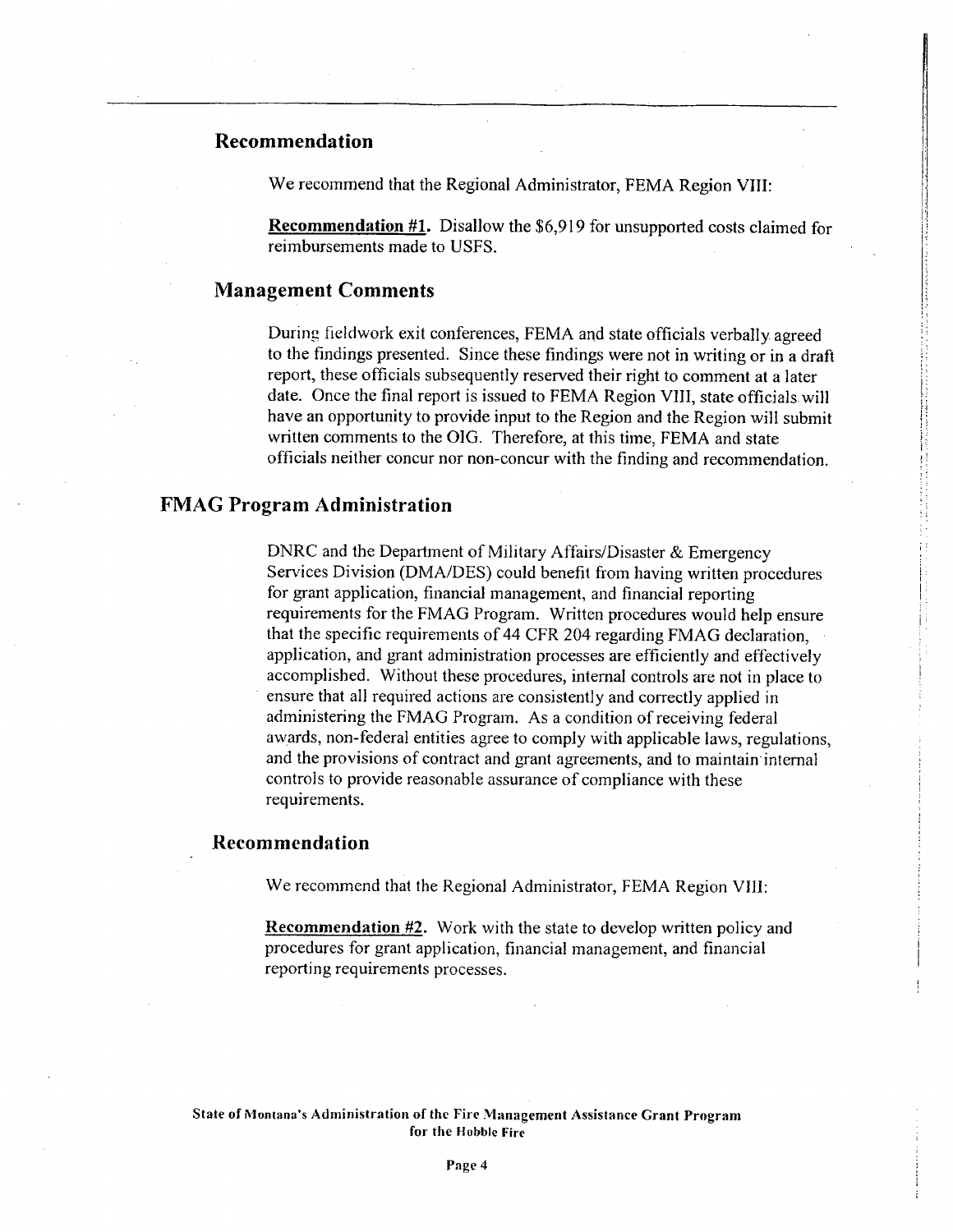#### Recommendation

We recommend that the Regional Administrator, FEMA Region VIII:

Recommendation #1. Disallow the \$6,919 for unsupported costs claimed for reimbursements made to USFS.

I:

11

H  $^{\circ}$  ,

i'

;j

i

#### **Management Comments**

During fieldwork exit conferences, FEMA and state officials verbally agreed to the findings presented. Since these findings were not in writing or in a draft report, these officials subsequently reserved their right to comment at a later date. Once the final report is issued to FEMA Region VIII, state officials will have an opportunity to provide input to the Region and the Region will submit written comments to the OIG. Therefore, at this time, FEMA and state officials neither concur nor non-concur with the finding and recommendation.

#### FMAG Program Administration

DNRC and the Department of Military Affairs/Disaster & Emergency Services Division (DMA/DES) could benefit from having written procedures for grant application, financial management, and financial reporting requirements for the FMAG Program. Written procedures would help ensure that the specific requirements of 44 CFR 204 regarding FMAG declaration, application, and grant administration processes are efficiently and effectively accomplished. Without these procedures, internal controls are not in place to ensure that all required actions are consistently and correctly applied in administering the FMAG Program. As a condition of receiving federal awards, non-federal entities agree to comply with applicable laws, regulations, and the provisions of contract and grant agreements, and to maintain'internal controls to provide reasonable assurance of compliance with these requirements.

#### Recommendation

We recommend that the Regional Administrator, FEMA Region VIII:

Recommendation #2. Work with the state to develop written policy and procedures for grant application, financial management, and financial reporting requirements processes.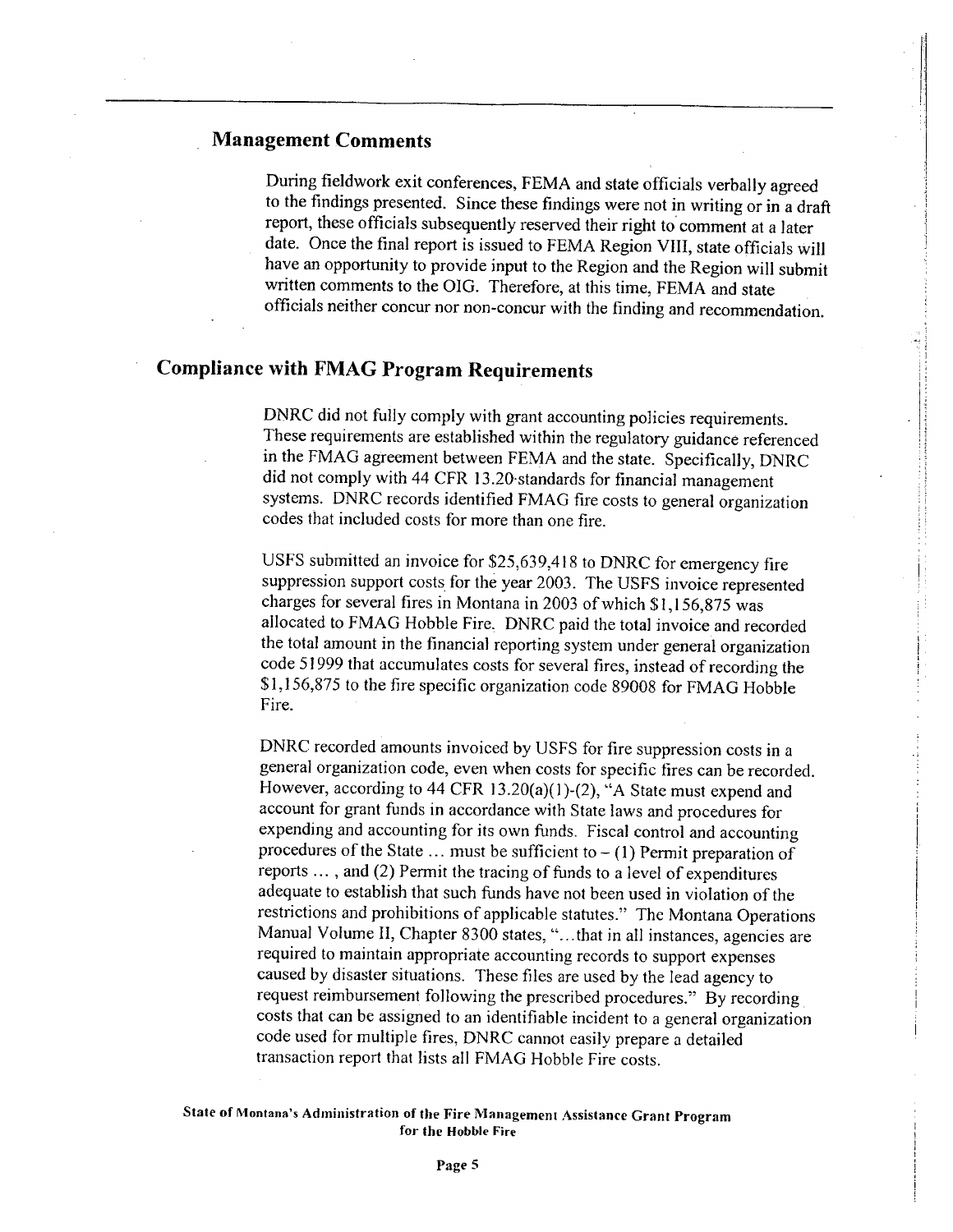#### Management Comments

During fieldwork exit conferences, FEMA and state officials verbally agreed to the findings presented. Since these findings were not in writing or in a draft report, these officials subsequently reserved their right to comment at a later date. Once the final report is issued to FEMA Region VlI, state officials will have an opportunity to provide input to the Region and the Region will submit written comments to the OIG. Therefore, at this time, FEMA and state officials neither concur nor non-concur with the finding and recommendation.

i li

### Compliance with FMAG Program Requirements

DNRC did not fully comply with grant accounting policies requirements. These requirements are established within the regulatory guidance referenced in the FMAG agreement between FEMA and the state. Specifically, DNRC did not comply with 44 CFR 13.20 standards for financial management systems. DNRC records identified FMAG fire costs to general organization codes that included costs for more than one fire.

USFS submitted an invoice for \$25,639,418 to DNRC for emergency fire suppression support costs for the year 2003. The USFS invoice represented charges for several fires in Montana in 2003 of which  $\frac{\$1,156,875 \text{ was}}{\$2,000\}$$ allocated to FMAG Hobble Fire, DNRC paid the total invoice and recorded the total amount in the financial reporting system under general organization code 51999 that accumulates costs for several fires, instead of recording the \$ 1,156,875 to the fire specific organization code 89008 for FMAG Hobble Fire.

DNRC recorded amounts invoiced by USFS for fire suppression costs in a general organization code, even when costs for specific tires can be recorded. However, according to 44 CFR 13.20(a)(1)-(2), "A State must expend and account for grant funds in accordance with State laws and procedures for expending and accounting for its own funds. Fiscal control and accounting procedures of the State  $\dots$  must be sufficient to  $- (1)$  Permit preparation of reports... , and (2) Permit the tracing of funds to a level of expenditures adequate to establish that such funds have not been used in violation of the restrictions and prohibitions of applicable statutes." The Montana Operations Manual Volume II, Chapter 8300 states, "... that in all instances, agencies are required to maintain appropriate accounting records to support expenses caused by disaster situations. These files are used by the lead agency to request reimbursement following the prescribed procedures." By recording costs that can be assigned to an identifiable incident to a general organization code used for multiple fires, DNRC cannot easily prepare a detailed transaction report that lists all FMAG Hobble Fire costs.

#### State of Montana's Administration of tbe Fire Management Assistance Grant Program for tbe Hobble Fire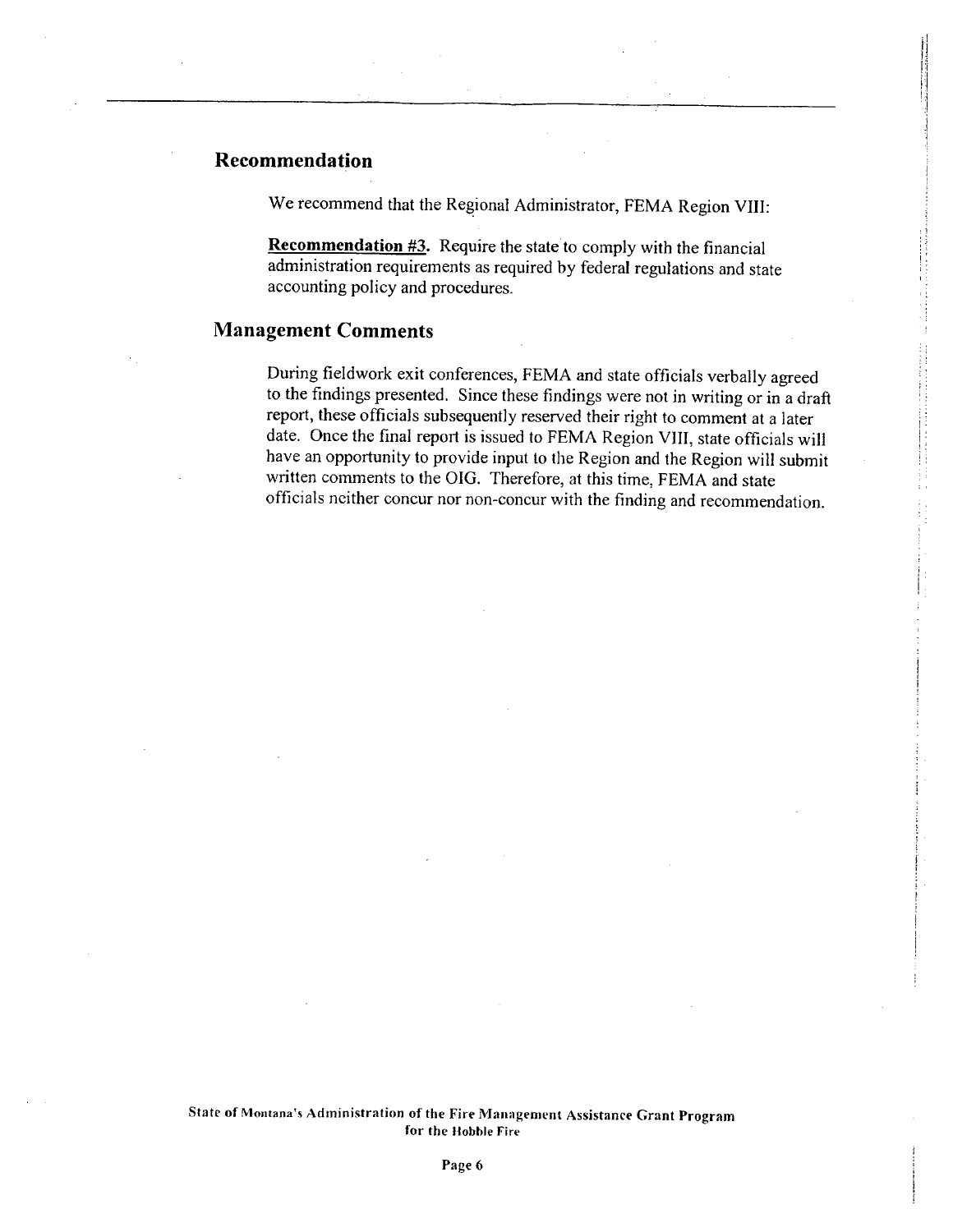### Recommendation ,

We recommend that the Regional Administrator, FEMA Region VIII:

'i II j, 1:; :-1 II  $\mathbf{1}$ I j i

Recommendation  $#3$ . Require the state to comply with the financial administration requirements as required by federal regulations and state accounting policy and procedures.

#### Management Comments

During fieldwork exit conferences, FEMA and state officials verbally agreed to the findings presented. Since these findings were not in writing or in a draft report, these officials subsequently reserved their right to comment at a later date. Once the final report is issued to FEMA Region VII, state officials wil have an opportunity to provide input to the Region and the Region will submit written comments to the OIG. Therefore, at this time, FEMA and state officials neither concur nor non-concur with the finding and recommendation.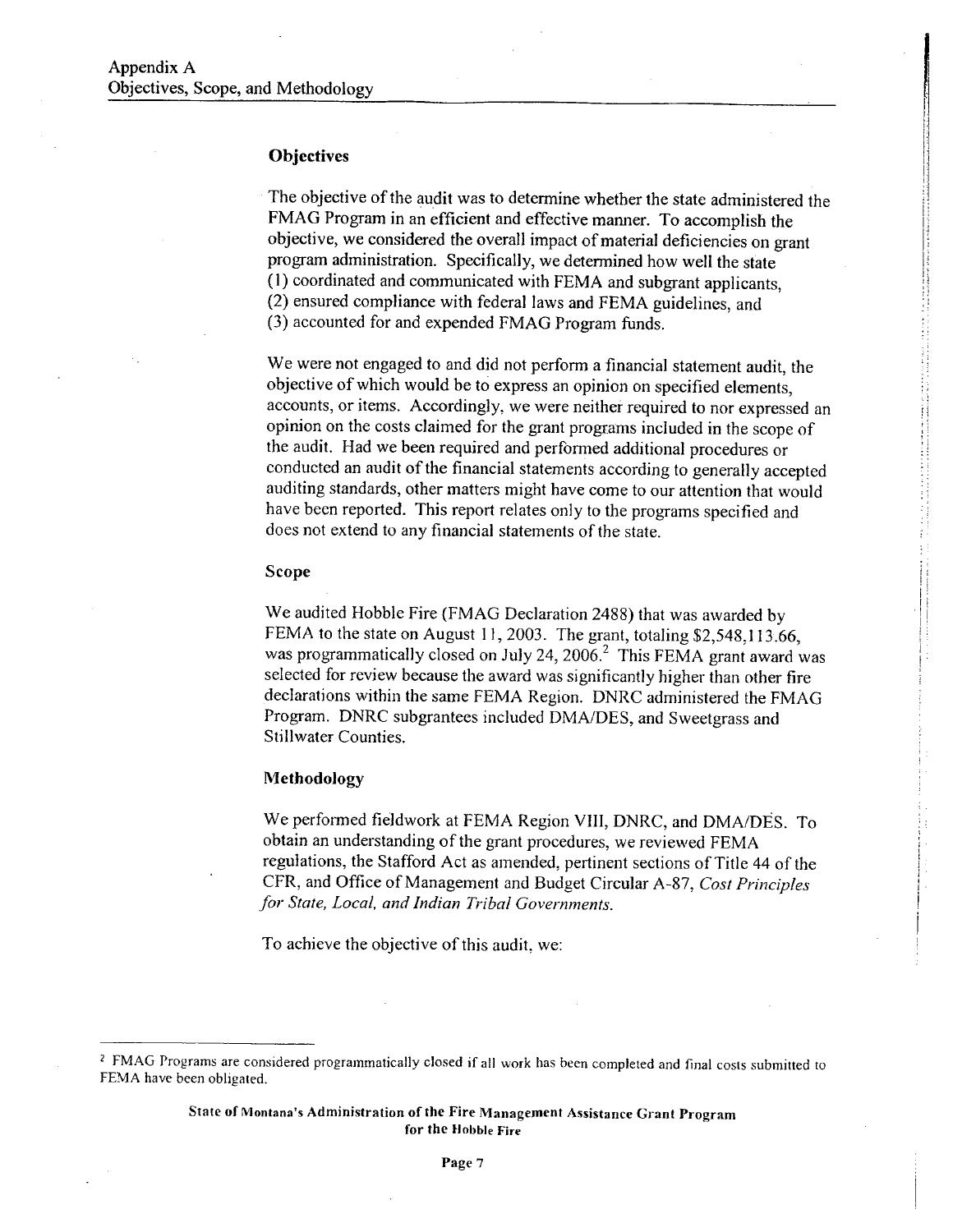#### **Objectives**

The objective of the audit was to determine whether the state administered the FMAG Program in an efficient and effective manner. To accomplish the objective, we considered the overall impact of material deficiencies on grant program administration. Specifically, we determined how well the state (1) coordinated and communicated with FEMA and subgrant applicants, (2) ensured compliance with federal laws and FEMA guidelines, and (3) accounted for and expended FMAG Program funds.

l.

I:

I: ! ! :1 Ii I: I~ Ii H

 $\alpha$  , and the contract of the contract of the contract of the contract of the contract of the contract of the contract of the contract of the contract of the contract of the contract of the contract of the contract of th

We were not engaged to and did not perform a financial statement audit, the objective of which would be to express an opinion on specified elements, accounts, or items. Accordingly, we were neither required to nor expressed an opinion on the costs claimed for the grant programs included in the scope of the audit. Had we been required and performed additional procedures or conducted an audit of the financial statements according to generally accepted auditing standards, other matters might have come to our attention that would have been reported. This report relates only to the programs specified and does not extend to any financial statements of the state.

#### Scope

We audited Hobble Fire (FMAG Declaration 2488) that was awarded by FEMA to the state on August 11, 2003. The grant, totaling \$2,548,113.66, was programmatically closed on July 24, 2006.<sup>2</sup> This FEMA grant award was selected for review because the award was significantly higher than other fire declarations within the same FEMA Region. DNRC administered the FMAG Program. DNRC subgrantees included DMA/DES, and Sweetgrass and Stillwater Counties.

#### Methodology

We performed fieldwork at FEMA Region VIII, DNRC, and DMA/DES. To obtain an understanding of the grant procedures, we reviewed FEMA regulations, the Stafford Act as amended, pertinent sections of Title 44 of the CFR, and Office of Management and Budget Circular A-87, Cost Principles for State, Local, and Indian Tribal Governments.

To achieve the objective of this audit, we:

State of Montana's Administration of the Fire Management Assistance Grant Program for the Hobble Fire

<sup>&</sup>lt;sup>2</sup> FMAG Programs are considered programmatically closed if all work has been completed and final costs submitted to FEMA have been obligated.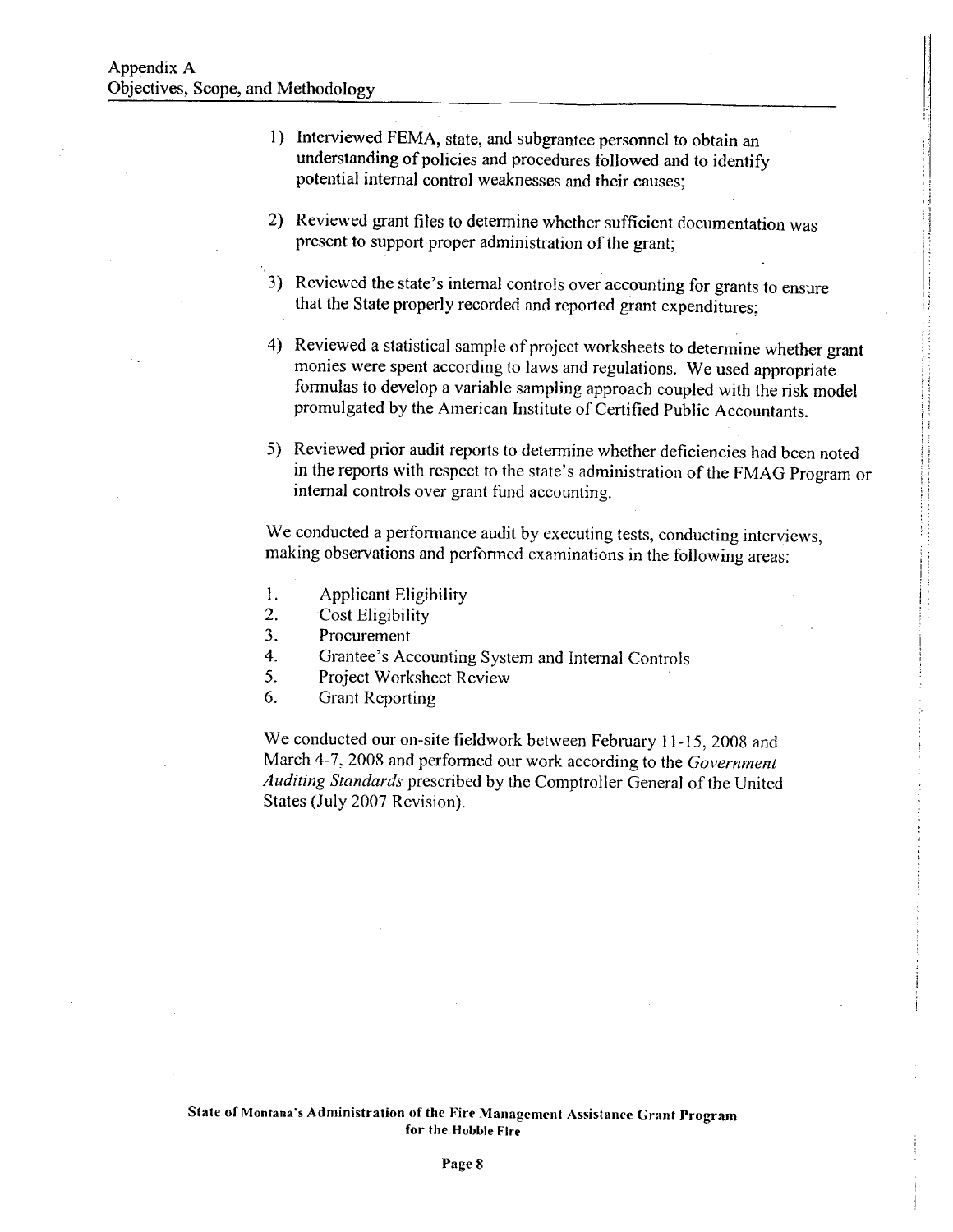- 1) Interviewed FEMA, state, and subgrantee personnel to obtain an understanding of policies and procedures followed and to identify potential internal control weaknesses and their causes;
- 2) Reviewed grant fies to determine whether sufficient documentation was present to support proper administration of the grant;
- 3) Reviewed the state's internal controls over accounting for grants to ensure that the State properly recorded and reported grant expenditures;
- 4) Reviewed a statistical sample of project worksheets to determine whether grant monies were spent according to laws and regulations. We used appropriate formulas to develop a variable sampling approach coupled with the risk model promulgated by the American Institute of Certified Public Accountants.
- 5) Reviewed prior audit reports to determine whether deficiencies had been noted in the reports with respect to the state's administration of the FMAG Program or internal controls over grant fund accounting.

We conducted a performance audit by executing tests, conducting interviews, making observations and perfonned examinations in the following areas:

- 1. Applicant Eligibility
- 2. Cost Eligibility
- 3. Procurement
- 4. Grantee's Accounting System and Intemal Controls
- 5. Project Worksheet Review
- 6. Grant Reporting

We conducted our on-site fieldwork between February 11-15, 2008 and March 4-7, 2008 and performed our work according to the Government Auditing Standards prescribed by the Comptroller General of the United States (July 2007 Revision).